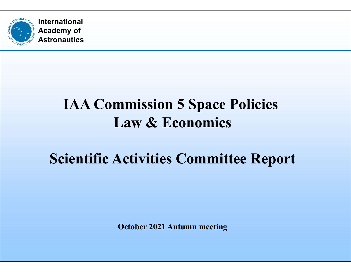

## IAA Commission 5 Space Policies Law & Economics

## Scientific Activities Committee Report

October 2021 Autumn meeting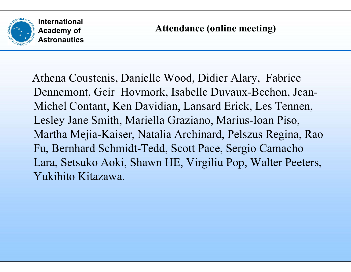

Athena Coustenis, Danielle Wood, Didier Alary, Fabrice International<br>
Academy of Astronautics<br>
Astronautics<br>
Athena Coustenis, Danielle Wood, Didier Alary, Fabrice<br>
Dennemont, Geir Hovmork, Isabelle Duvaux-Bechon, Jean-Michel Contant, Ken Davidian, Lansard Erick, Les Tennen,<br> International<br>
Exactemy of Attendance (online meeting)<br>
Athena Coustenis, Danielle Wood, Didier Alary, Fabrice<br>
Dennemont, Geir Hovmork, Isabelle Duvaux-Bechon, Jean-<br>
Michel Contant, Ken Davidian, Lansard Erick, Les Tenne International<br>
Academy of<br>
Astronautics<br>
Athena Coustenis, Danielle Wood, Didier Alary, Fabrice<br>
Dennemont, Geir Hovmork, Isabelle Duvaux-Bechon, Jean-<br>
Michel Contant, Ken Davidian, Lansard Erick, Les Tennen,<br>
Lesley Jane Martha Mejia-Kaiser, Natalia Archinard, Pelszus Regina, Rao Fu, Bernhard Schmidt-Tedd, Scott Pace, Sergio Camacho Athena Coustenis, Danielle Wood, Didier Alary, Fabrice<br>Dennemont, Geir Hovmork, Isabelle Duvaux-Bechon, Jean-Michel Contant, Ken Davidian, Lansard Erick, Les Tennen,<br>Lesley Jane Smith, Mariella Graziano, Marius-Ioan Piso,<br> Athena Coustenis, Danielle Wood, Didie<br>Dennemont, Geir Hovmork, Isabelle Du<br>Michel Contant, Ken Davidian, Lansard<br>Lesley Jane Smith, Mariella Graziano, M<br>Martha Mejia-Kaiser, Natalia Archinard,<br>Fu, Bernhard Schmidt-Tedd, S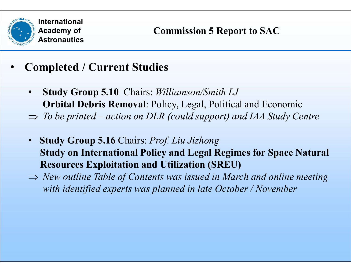

- Completed / Current Studies
- Study Group 5.10 Chairs: Williamson/Smith LJ Orbital Debris Removal: Policy, Legal, Political and Economic International<br>
Academy of Commission 5 Report to SAC<br>
<br>
Completed / Current Studies<br>
• Study Group 5.10 Chairs: *Williamson/Smith LJ*<br>
Orbital Debris Removal: Policy, Legal, Political and Economic<br>
⇒ To be printed – actio
	-
	- Study Group 5.16 Chairs: Prof. Liu Jizhong Study on International Policy and Legal Regimes for Space Natural Resources Exploitation and Utilization (SREU)
	- $\Rightarrow$  New outline Table of Contents was issued in March and online meeting with identified experts was planned in late October / November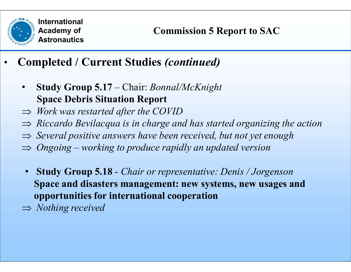

- Completed / Current Studies (continued)
- International<br>
 Astronautics<br>
 Commission 5 Report to S.<br>
 Study Group 5.17 Chair: *Bonnal/McKnight*<br>
 Study Group 5.17 Chair: *Bonnal/McKnight*<br>
⇒ *Work was restarted after the COVID* Space Debris Situation Report **Example 2018**<br> **Completed / Current Studies (continued)**<br>
• Study Group 5.17 – Chair: *Bonnal/McKnight*<br>
Space Debris Situation Report<br>  $\Rightarrow$  *Work was restarted after the COVID*<br>  $\Rightarrow$  *Riccardo Bevilacqua is in charge an* 
	- $\Rightarrow$  Work was restarted after the COVID
	- $\Rightarrow$  Riccardo Bevilacqua is in charge and has started organizing the action
	- $\Rightarrow$  Several positive answers have been received, but not yet enough
	-
	- Study Group 5.18 Chair or representative: Denis / Jorgenson Space and disasters management: new systems, new usages and opportunities for international cooperation
	- $\Rightarrow$  Nothing received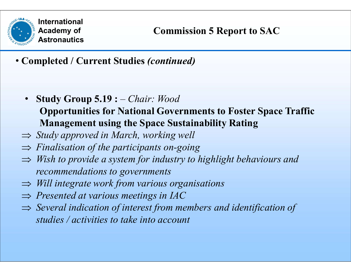

• Completed / Current Studies (continued)

- **Study Group 5.19 :**  $-$  *Chair: Wood* Opportunities for National Governments to Foster Space Traffic Management using the Space Sustainability Rating
- $\Rightarrow$  Study approved in March, working well
- $\Rightarrow$  Finalisation of the participants on-going
- $\Rightarrow$  Wish to provide a system for industry to highlight behaviours and recommendations to governments
- $\Rightarrow$  Will integrate work from various organisations
- $\Rightarrow$  Presented at various meetings in IAC
- $\Rightarrow$  Several indication of interest from members and identification of studies / activities to take into account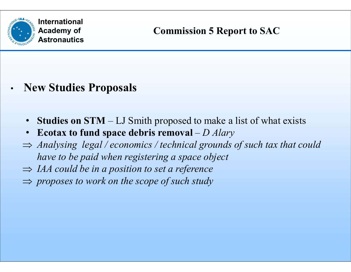

- New Studies Proposals
	-
	- Ecotax to fund space debris removal  $-D$  Alary
- International<br>• Astronautics<br>• Studies Proposals<br>• Studies on STM LJ Smith proposed to make a list of what exists<br>• Ecotax to fund space debris removal D Alary<br>• Analysing legal / economics / technical grounds of su  $\Rightarrow$  Analysing legal / economics / technical grounds of such tax that could have to be paid when registering a space object
	- $\Rightarrow$  IAA could be in a position to set a reference
	- $\Rightarrow$  proposes to work on the scope of such study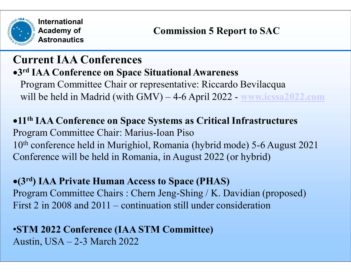

# Current IAA Conferences 3 rd IAA Conference on Space Situational Awareness Program Committee Chair or representative: Riccardo Bevilacqua International<br>
Academy of<br>
Astronautics<br>
V<sup>rd</sup> IAA Conferences<br>
Program Committee Chair or representative: Riccardo Bevilacqua<br>
Will be held in Madrid (with GMV) – 4-6 April 2022 - www.icssa2022.com<br>
1<sup>th</sup> IAA Conference o

# 11th IAA Conference on Space Systems as Critical Infrastructures Program Committee Chair: Marius-Ioan Piso 10th conference held in Murighiol, Romania (hybrid mode) 5-6 August 2021 Conference will be held in Romania, in August 2022 (or hybrid) will be held in Madrid (with GMV) – 4-6 April 2022 - **MWM.icssa2022.com**<br>
•11<sup>th</sup> IAA Conference on Space Systems as Critical Infrastructures<br>
Program Committee Chair: Marius-Ioan Piso<br>
10<sup>th</sup> conference held in Murighiol

(3rd) IAA Private Human Access to Space (PHAS) Program Committee Chairs : Chern Jeng-Shing / K. Davidian (proposed) Program Committee Chair: Marius-Ioan Piso<br>10<sup>th</sup> conference held in Murighiol, Romania (hybric<br>Conference will be held in Romania, in August 202<br>•(3<sup>rd</sup>) IAA Private Human Access to Space (PHA<br>Program Committee Chairs : C

#### •STM 2022 Conference (IAA STM Committee)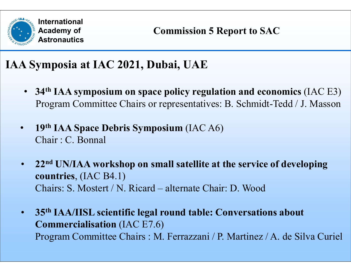

### IAA Symposia at IAC 2021, Dubai, UAE

- 34<sup>th</sup> IAA symposium on space policy regulation and economics (IAC E3) International<br>
Academy of<br> **Astronautics**<br> **Program Commission S Report to SAC<br>
34<sup>th</sup> IAA symposium on space policy regulation and economics (IAC E3)**<br>
Program Committee Chairs or representatives: B. Schmidt-Tedd / J. Mas
- 19<sup>th</sup> IAA Space Debris Symposium (IAC A6) Chair : C. Bonnal
- 22<sup>nd</sup> UN/IAA workshop on small satellite at the service of developing countries, (IAC B4.1) 34<sup>th</sup> IAA symposium on space policy regulation and economics (IAC E Program Committee Chairs or representatives: B. Schmidt-Tedd / J. Masso<br>19<sup>th</sup> IAA Space Debris Symposium (IAC A6)<br>Chair: C. Bonnal<br>22<sup>nd</sup> UN/IAA worksho
- 35<sup>th</sup> IAA/IISL scientific legal round table: Conversations about Commercialisation (IAC E7.6) Program Committee Chairs : M. Ferrazzani / P. Martinez / A. de Silva Curiel